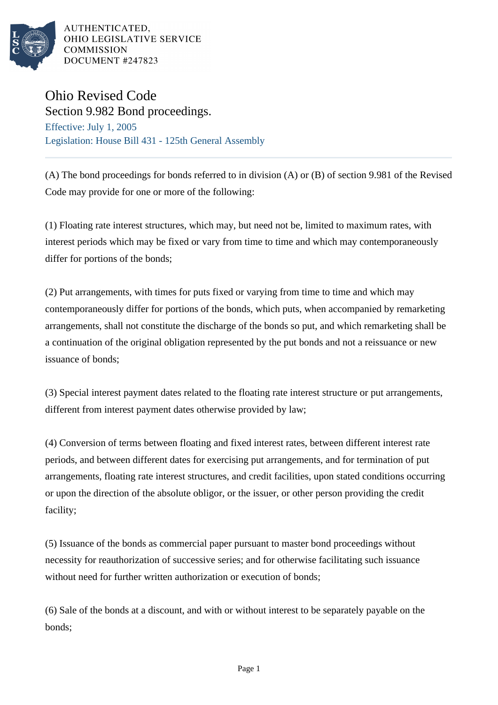

AUTHENTICATED. OHIO LEGISLATIVE SERVICE **COMMISSION** DOCUMENT #247823

## Ohio Revised Code

Section 9.982 Bond proceedings. Effective: July 1, 2005 Legislation: House Bill 431 - 125th General Assembly

(A) The bond proceedings for bonds referred to in division (A) or (B) of section 9.981 of the Revised Code may provide for one or more of the following:

(1) Floating rate interest structures, which may, but need not be, limited to maximum rates, with interest periods which may be fixed or vary from time to time and which may contemporaneously differ for portions of the bonds;

(2) Put arrangements, with times for puts fixed or varying from time to time and which may contemporaneously differ for portions of the bonds, which puts, when accompanied by remarketing arrangements, shall not constitute the discharge of the bonds so put, and which remarketing shall be a continuation of the original obligation represented by the put bonds and not a reissuance or new issuance of bonds;

(3) Special interest payment dates related to the floating rate interest structure or put arrangements, different from interest payment dates otherwise provided by law;

(4) Conversion of terms between floating and fixed interest rates, between different interest rate periods, and between different dates for exercising put arrangements, and for termination of put arrangements, floating rate interest structures, and credit facilities, upon stated conditions occurring or upon the direction of the absolute obligor, or the issuer, or other person providing the credit facility;

(5) Issuance of the bonds as commercial paper pursuant to master bond proceedings without necessity for reauthorization of successive series; and for otherwise facilitating such issuance without need for further written authorization or execution of bonds:

(6) Sale of the bonds at a discount, and with or without interest to be separately payable on the bonds;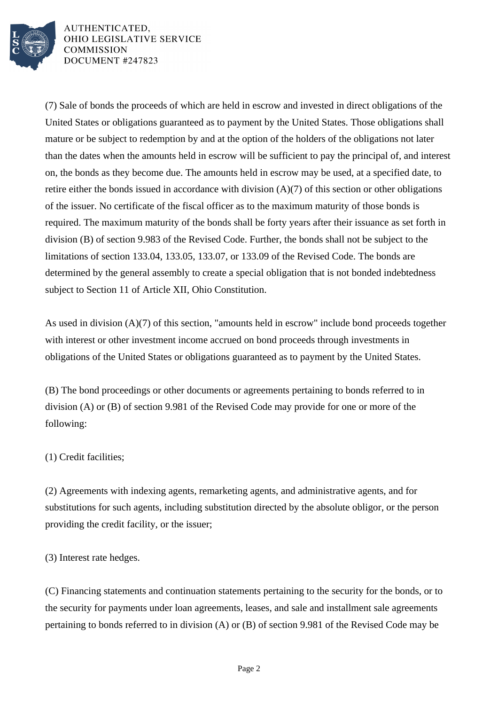

AUTHENTICATED. OHIO LEGISLATIVE SERVICE **COMMISSION** DOCUMENT #247823

(7) Sale of bonds the proceeds of which are held in escrow and invested in direct obligations of the United States or obligations guaranteed as to payment by the United States. Those obligations shall mature or be subject to redemption by and at the option of the holders of the obligations not later than the dates when the amounts held in escrow will be sufficient to pay the principal of, and interest on, the bonds as they become due. The amounts held in escrow may be used, at a specified date, to retire either the bonds issued in accordance with division (A)(7) of this section or other obligations of the issuer. No certificate of the fiscal officer as to the maximum maturity of those bonds is required. The maximum maturity of the bonds shall be forty years after their issuance as set forth in division (B) of section 9.983 of the Revised Code. Further, the bonds shall not be subject to the limitations of section 133.04, 133.05, 133.07, or 133.09 of the Revised Code. The bonds are determined by the general assembly to create a special obligation that is not bonded indebtedness subject to Section 11 of Article XII, Ohio Constitution.

As used in division (A)(7) of this section, "amounts held in escrow" include bond proceeds together with interest or other investment income accrued on bond proceeds through investments in obligations of the United States or obligations guaranteed as to payment by the United States.

(B) The bond proceedings or other documents or agreements pertaining to bonds referred to in division (A) or (B) of section 9.981 of the Revised Code may provide for one or more of the following:

## (1) Credit facilities;

(2) Agreements with indexing agents, remarketing agents, and administrative agents, and for substitutions for such agents, including substitution directed by the absolute obligor, or the person providing the credit facility, or the issuer;

(3) Interest rate hedges.

(C) Financing statements and continuation statements pertaining to the security for the bonds, or to the security for payments under loan agreements, leases, and sale and installment sale agreements pertaining to bonds referred to in division (A) or (B) of section 9.981 of the Revised Code may be